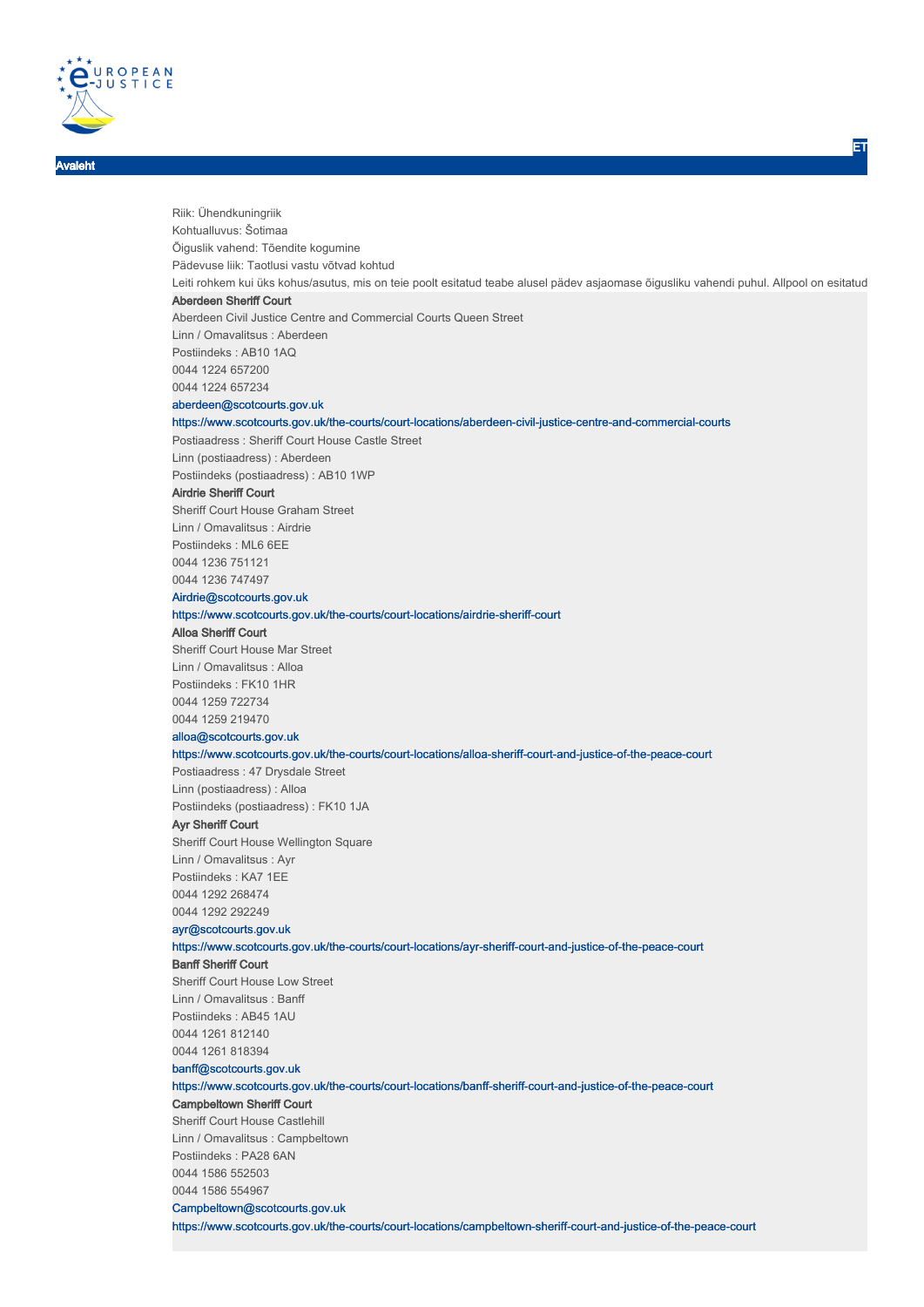

Avaleht

Riik: Ühendkuningriik Kohtualluvus: Šotimaa Õiguslik vahend: Tõendite kogumine Pädevuse liik: Taotlusi vastu võtvad kohtud Leiti rohkem kui üks kohus/asutus, mis on teie poolt esitatud teabe alusel pädev asjaomase õigusliku vahendi puhul. Allpool on esitatud Aberdeen Sheriff Court Aberdeen Civil Justice Centre and Commercial Courts Queen Street Linn / Omavalitsus : Aberdeen Postiindeks : AB10 1AQ 0044 1224 657200 0044 1224 657234 aberdeen@scotcourts.gov.uk https://www.scotcourts.gov.uk/the-courts/court-locations/aberdeen-civil-justice-centre-and-commercial-courts Postiaadress : Sheriff Court House Castle Street Linn (postiaadress) : Aberdeen Postiindeks (postiaadress) : AB10 1WP Airdrie Sheriff Court Sheriff Court House Graham Street Linn / Omavalitsus : Airdrie Postiindeks : ML6 6EE 0044 1236 751121 0044 1236 747497 Airdrie@scotcourts.gov.uk https://www.scotcourts.gov.uk/the-courts/court-locations/airdrie-sheriff-court Alloa Sheriff Court Sheriff Court House Mar Street Linn / Omavalitsus : Alloa Postiindeks : FK10 1HR 0044 1259 722734 0044 1259 219470 alloa@scotcourts.gov.uk https://www.scotcourts.gov.uk/the-courts/court-locations/alloa-sheriff-court-and-justice-of-the-peace-court Postiaadress : 47 Drysdale Street Linn (postiaadress) : Alloa Postiindeks (postiaadress) : FK10 1JA Ayr Sheriff Court Sheriff Court House Wellington Square Linn / Omavalitsus : Ayr Postiindeks : KA7 1EE 0044 1292 268474 0044 1292 292249 ayr@scotcourts.gov.uk https://www.scotcourts.gov.uk/the-courts/court-locations/ayr-sheriff-court-and-justice-of-the-peace-court Banff Sheriff Court Sheriff Court House Low Street Linn / Omavalitsus : Banff Postiindeks : AB45 1AU 0044 1261 812140 0044 1261 818394 banff@scotcourts.gov.uk https://www.scotcourts.gov.uk/the-courts/court-locations/banff-sheriff-court-and-justice-of-the-peace-court Campbeltown Sheriff Court Sheriff Court House Castlehill Linn / Omavalitsus : Campbeltown Postiindeks : PA28 6AN 0044 1586 552503 0044 1586 554967 Campbeltown@scotcourts.gov.uk https://www.scotcourts.gov.uk/the-courts/court-locations/campbeltown-sheriff-court-and-justice-of-the-peace-court

ET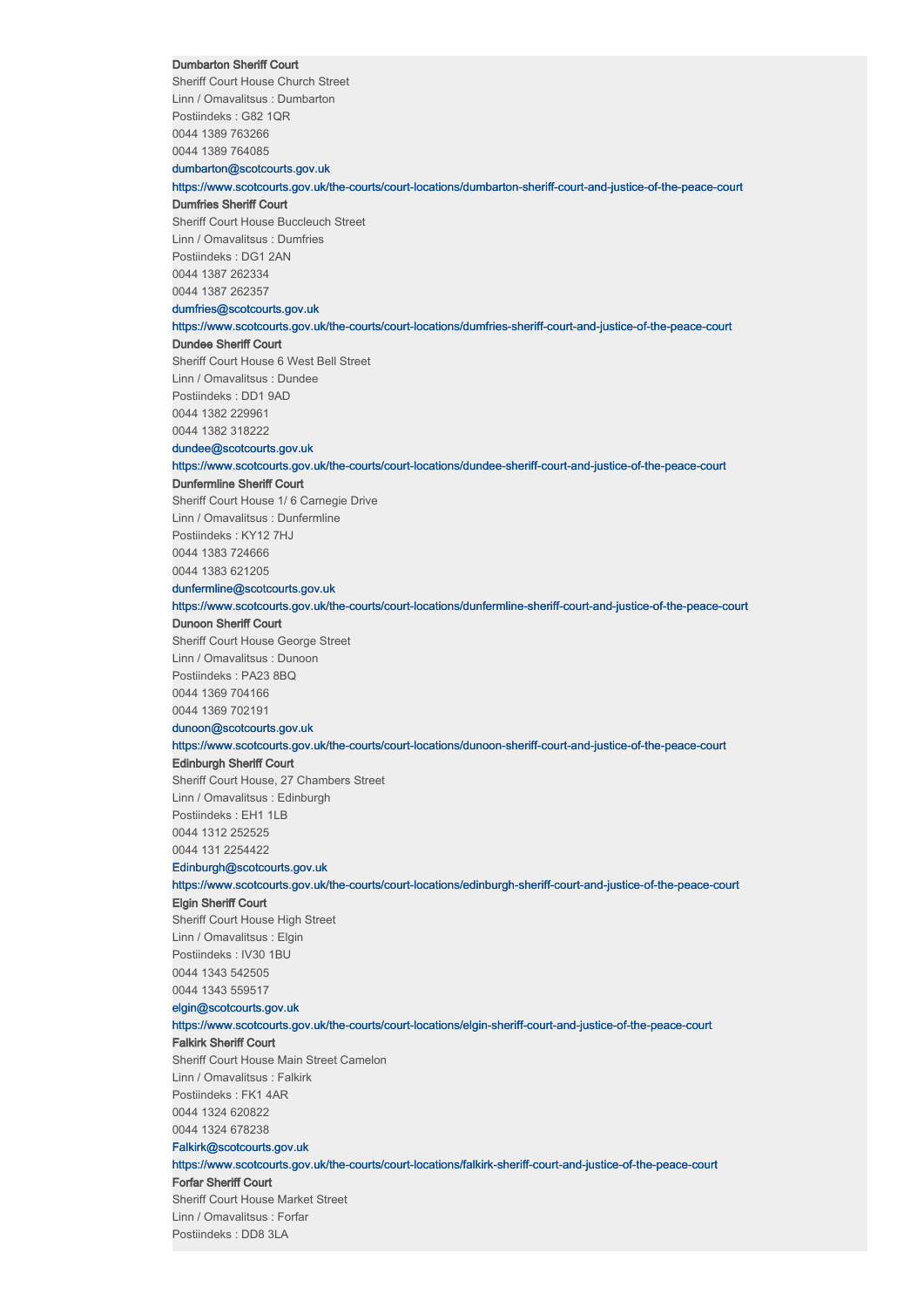## Dumbarton Sheriff Court

Sheriff Court House Church Street Linn / Omavalitsus : Dumbarton Postiindeks : G82 1QR 0044 1389 763266 0044 1389 764085

dumbarton@scotcourts.gov.uk

# https://www.scotcourts.gov.uk/the-courts/court-locations/dumbarton-sheriff-court-and-justice-of-the-peace-court

Dumfries Sheriff Court

Sheriff Court House Buccleuch Street Linn / Omavalitsus : Dumfries Postiindeks : DG1 2AN 0044 1387 262334 0044 1387 262357

# dumfries@scotcourts.gov.uk

https://www.scotcourts.gov.uk/the-courts/court-locations/dumfries-sheriff-court-and-justice-of-the-peace-court Dundee Sheriff Court

Sheriff Court House 6 West Bell Street Linn / Omavalitsus : Dundee

Postiindeks : DD1 9AD

0044 1382 229961

0044 1382 318222

# dundee@scotcourts.gov.uk

https://www.scotcourts.gov.uk/the-courts/court-locations/dundee-sheriff-court-and-justice-of-the-peace-court

# Dunfermline Sheriff Court

Sheriff Court House 1/ 6 Carnegie Drive Linn / Omavalitsus : Dunfermline Postiindeks : KY12 7HJ 0044 1383 724666 0044 1383 621205

#### dunfermline@scotcourts.gov.uk

https://www.scotcourts.gov.uk/the-courts/court-locations/dunfermline-sheriff-court-and-justice-of-the-peace-court

# Dunoon Sheriff Court

Sheriff Court House George Street Linn / Omavalitsus : Dunoon Postiindeks : PA23 8BQ 0044 1369 704166 0044 1369 702191 dunoon@scotcourts.gov.uk

# https://www.scotcourts.gov.uk/the-courts/court-locations/dunoon-sheriff-court-and-justice-of-the-peace-court

#### Edinburgh Sheriff Court

Sheriff Court House, 27 Chambers Street Linn / Omavalitsus : Edinburgh Postiindeks : EH1 1LB 0044 1312 252525 0044 131 2254422

# Edinburgh@scotcourts.gov.uk

https://www.scotcourts.gov.uk/the-courts/court-locations/edinburgh-sheriff-court-and-justice-of-the-peace-court

# Elgin Sheriff Court

Sheriff Court House High Street Linn / Omavalitsus : Elgin Postiindeks : IV30 1BU 0044 1343 542505 0044 1343 559517

## elgin@scotcourts.gov.uk

#### https://www.scotcourts.gov.uk/the-courts/court-locations/elgin-sheriff-court-and-justice-of-the-peace-court

# Falkirk Sheriff Court

Sheriff Court House Main Street Camelon Linn / Omavalitsus : Falkirk Postiindeks : FK1 4AR 0044 1324 620822 0044 1324 678238 Falkirk@scotcourts.gov.uk

#### https://www.scotcourts.gov.uk/the-courts/court-locations/falkirk-sheriff-court-and-justice-of-the-peace-court

Forfar Sheriff Court

Sheriff Court House Market Street Linn / Omavalitsus : Forfar Postiindeks : DD8 3LA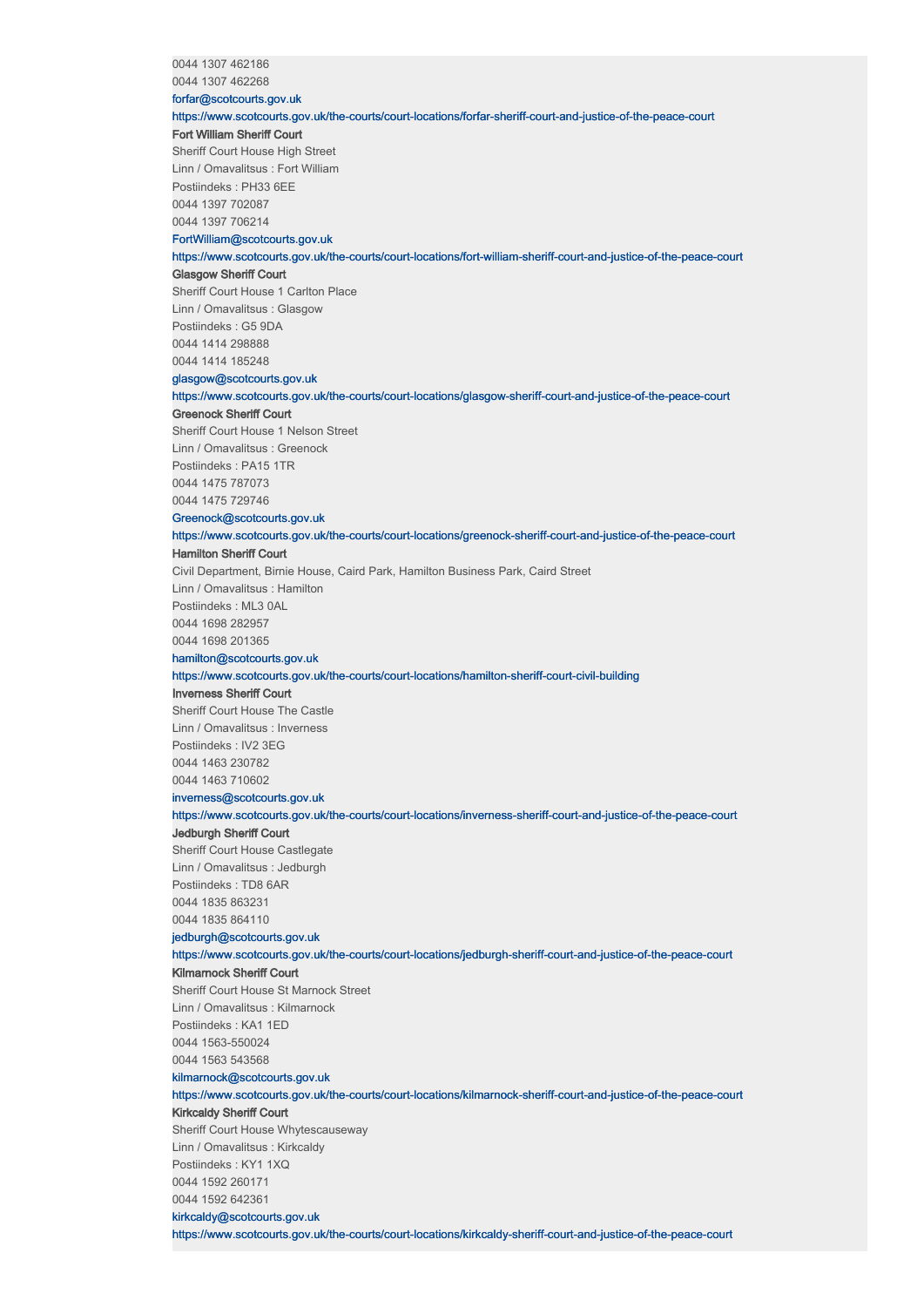0044 1307 462186

0044 1307 462268

#### forfar@scotcourts.gov.uk

https://www.scotcourts.gov.uk/the-courts/court-locations/forfar-sheriff-court-and-justice-of-the-peace-court

# Fort William Sheriff Court

Sheriff Court House High Street Linn / Omavalitsus : Fort William Postiindeks : PH33 6EE 0044 1397 702087 0044 1397 706214

#### FortWilliam@scotcourts.gov.uk

https://www.scotcourts.gov.uk/the-courts/court-locations/fort-william-sheriff-court-and-justice-of-the-peace-court

# Glasgow Sheriff Court

Sheriff Court House 1 Carlton Place Linn / Omavalitsus : Glasgow Postiindeks : G5 9DA 0044 1414 298888 0044 1414 185248

#### glasgow@scotcourts.gov.uk

https://www.scotcourts.gov.uk/the-courts/court-locations/glasgow-sheriff-court-and-justice-of-the-peace-court

#### Greenock Sheriff Court

Sheriff Court House 1 Nelson Street Linn / Omavalitsus : Greenock Postiindeks : PA15 1TR 0044 1475 787073 0044 1475 729746

## Greenock@scotcourts.gov.uk

# https://www.scotcourts.gov.uk/the-courts/court-locations/greenock-sheriff-court-and-justice-of-the-peace-court

### Hamilton Sheriff Court

Civil Department, Birnie House, Caird Park, Hamilton Business Park, Caird Street

Linn / Omavalitsus : Hamilton Postiindeks : ML3 0AL 0044 1698 282957

0044 1698 201365

#### hamilton@scotcourts.gov.uk

#### https://www.scotcourts.gov.uk/the-courts/court-locations/hamilton-sheriff-court-civil-building

#### Inverness Sheriff Court

Sheriff Court House The Castle Linn / Omavalitsus : Inverness Postiindeks : IV2 3EG 0044 1463 230782 0044 1463 710602

#### inverness@scotcourts.gov.uk

# https://www.scotcourts.gov.uk/the-courts/court-locations/inverness-sheriff-court-and-justice-of-the-peace-court

# Jedburgh Sheriff Court

Sheriff Court House Castlegate Linn / Omavalitsus : Jedburgh Postiindeks : TD8 6AR 0044 1835 863231 0044 1835 864110

# jedburgh@scotcourts.gov.uk

# https://www.scotcourts.gov.uk/the-courts/court-locations/jedburgh-sheriff-court-and-justice-of-the-peace-court

# Kilmarnock Sheriff Court

Sheriff Court House St Marnock Street Linn / Omavalitsus : Kilmarnock Postiindeks : KA1 1ED 0044 1563-550024 0044 1563 543568 kilmarnock@scotcourts.gov.uk

https://www.scotcourts.gov.uk/the-courts/court-locations/kilmarnock-sheriff-court-and-justice-of-the-peace-court

# Kirkcaldy Sheriff Court

Sheriff Court House Whytescauseway Linn / Omavalitsus : Kirkcaldy Postiindeks : KY1 1XQ 0044 1592 260171 0044 1592 642361

# kirkcaldy@scotcourts.gov.uk

https://www.scotcourts.gov.uk/the-courts/court-locations/kirkcaldy-sheriff-court-and-justice-of-the-peace-court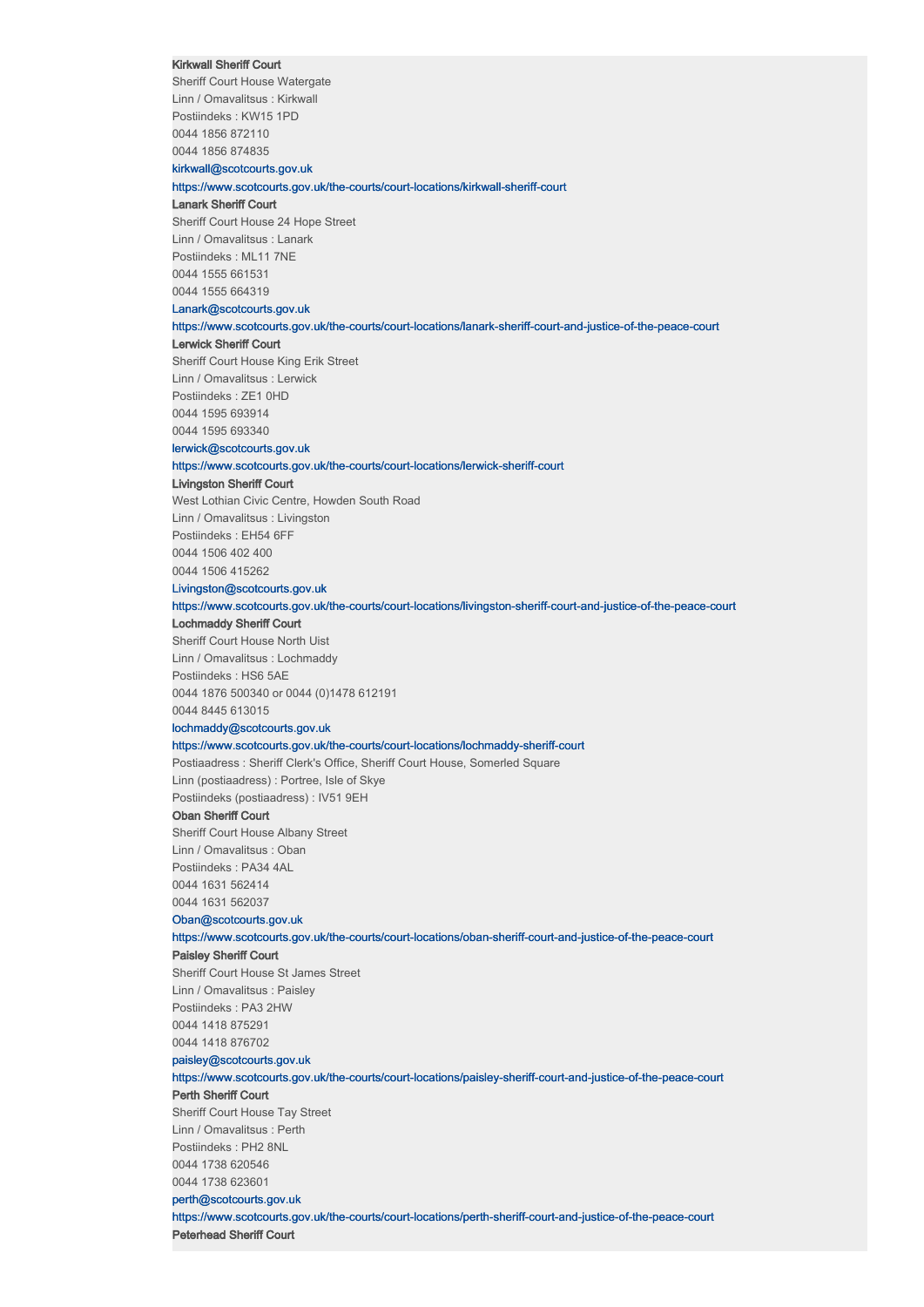#### Kirkwall Sheriff Court

Sheriff Court House Watergate Linn / Omavalitsus : Kirkwall Postiindeks : KW15 1PD 0044 1856 872110 0044 1856 874835

# kirkwall@scotcourts.gov.uk

https://www.scotcourts.gov.uk/the-courts/court-locations/kirkwall-sheriff-court

# Lanark Sheriff Court

Sheriff Court House 24 Hope Street Linn / Omavalitsus : Lanark Postiindeks : ML11 7NE 0044 1555 661531 0044 1555 664319

# Lanark@scotcourts.gov.uk

https://www.scotcourts.gov.uk/the-courts/court-locations/lanark-sheriff-court-and-justice-of-the-peace-court

# Lerwick Sheriff Court

Sheriff Court House King Erik Street Linn / Omavalitsus : Lerwick

Postiindeks : ZE1 0HD 0044 1595 693914

0044 1595 693340

# lerwick@scotcourts.gov.uk

https://www.scotcourts.gov.uk/the-courts/court-locations/lerwick-sheriff-court

#### Livingston Sheriff Court

West Lothian Civic Centre, Howden South Road Linn / Omavalitsus : Livingston

Postiindeks : EH54 6FF 0044 1506 402 400

0044 1506 415262 Livingston@scotcourts.gov.uk

https://www.scotcourts.gov.uk/the-courts/court-locations/livingston-sheriff-court-and-justice-of-the-peace-court

# Lochmaddy Sheriff Court

Sheriff Court House North Uist Linn / Omavalitsus : Lochmaddy Postiindeks : HS6 5AE 0044 1876 500340 or 0044 (0)1478 612191 0044 8445 613015

#### lochmaddy@scotcourts.gov.uk

# https://www.scotcourts.gov.uk/the-courts/court-locations/lochmaddy-sheriff-court

Postiaadress : Sheriff Clerk's Office, Sheriff Court House, Somerled Square Linn (postiaadress) : Portree, Isle of Skye Postiindeks (postiaadress) : IV51 9EH

## Oban Sheriff Court

Sheriff Court House Albany Street Linn / Omavalitsus : Oban Postiindeks : PA34 4AL 0044 1631 562414 0044 1631 562037

# Oban@scotcourts.gov.uk

https://www.scotcourts.gov.uk/the-courts/court-locations/oban-sheriff-court-and-justice-of-the-peace-court

# Paisley Sheriff Court

Sheriff Court House St James Street Linn / Omavalitsus : Paisley Postiindeks : PA3 2HW 0044 1418 875291 0044 1418 876702

# paisley@scotcourts.gov.uk

https://www.scotcourts.gov.uk/the-courts/court-locations/paisley-sheriff-court-and-justice-of-the-peace-court

Perth Sheriff Court Sheriff Court House Tay Street Linn / Omavalitsus : Perth Postiindeks : PH2 8NL 0044 1738 620546 0044 1738 623601

#### perth@scotcourts.gov.uk

https://www.scotcourts.gov.uk/the-courts/court-locations/perth-sheriff-court-and-justice-of-the-peace-court Peterhead Sheriff Court